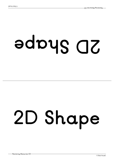# **epahS D2**

## **2D Shape**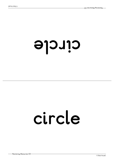#### **el cri <sup>c</sup>**

#### **circle**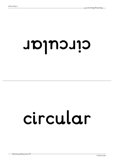#### **<sup>r</sup> al ucri <sup>c</sup>**

#### **circular**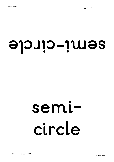#### **el cri c-i mes**

#### **semicircle**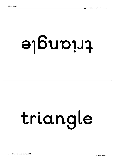### **el gnai rt**

## **triangle**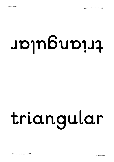# **<sup>r</sup> al ugnai rt**

## **triangular**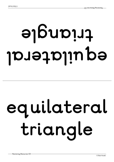## **l ar et ali uqe el gnai rt**

## **equilateral triangle**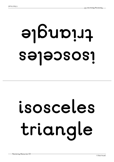### **sel ecsosi el gnai rt**

## **isosceles triangle**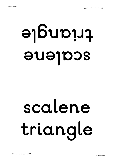## **enel acs el gnai rt**

## **scalene triangle**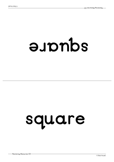#### **er auqs**

#### **square**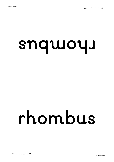#### **<sup>s</sup> ub mohr**

#### **rhombus**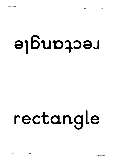## **el gnatcer**

## **rectangle**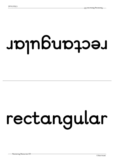### **<sup>r</sup> al ugnatcer**

## **rectangular**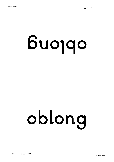# **gnol bo**

## **oblong**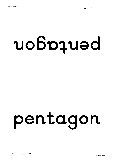### **nogatnep**

### **pentagon**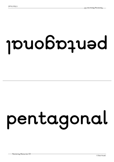### **l anogatnep**

### **pentagonal**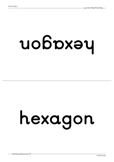### **nogaxeh**

## **hexagon**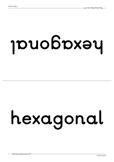### **l anogaxeh**

## **hexagonal**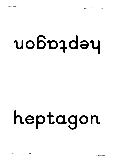## **nogatpeh**

## **heptagon**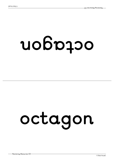### **nogatco**

### **octagon**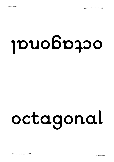### **l anogatco**

## **octagonal**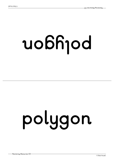# **nogyl op**

# **polygon**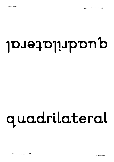#### **l ar et alir dauq**

#### **quadrilateral**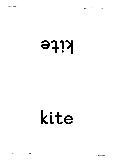#### **eti k**

#### **kite**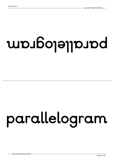### $u$  boys and

#### **parallelogram**